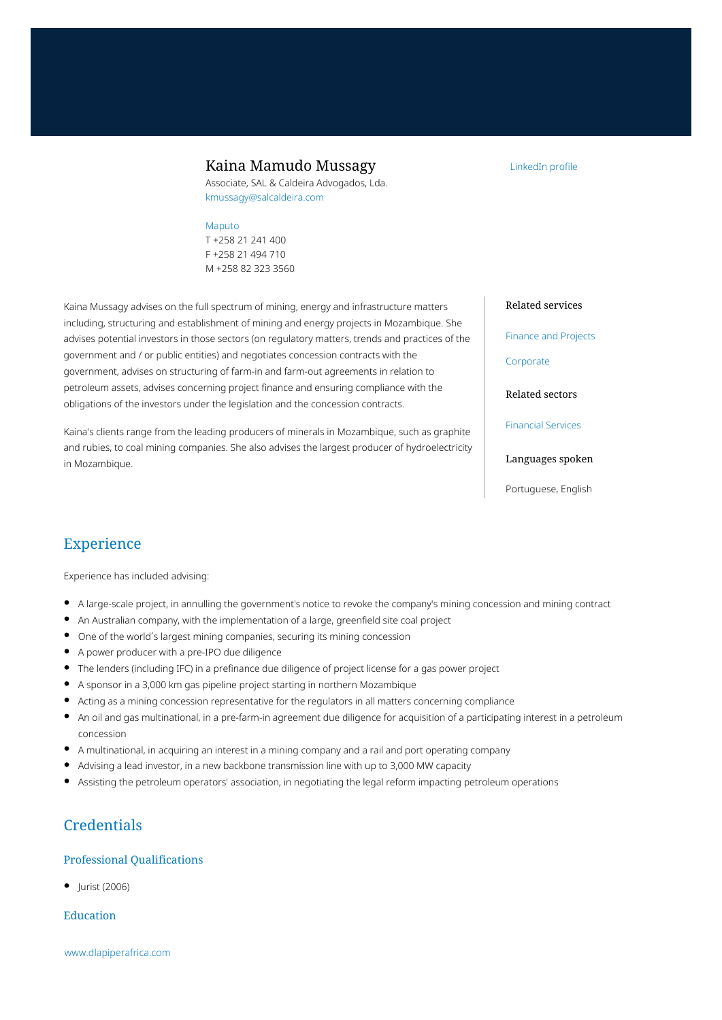### Kaina Mamudo Mussagy

Associate, SAL & Caldeira Advogados, Lda. kmussagy@salcaldeira.com

#### [Maputo](https://www.dlapiperafrica.com/mozambique/locations/maputo.html)

T +258 21 241 400 F +258 21 494 710 M +258 82 323 3560

Kaina Mussagy advises on the full spectrum of mining, energy and infrastructure matters including, structuring and establishment of mining and energy projects in Mozambique. She advises potential investors in those sectors (on regulatory matters, trends and practices of the government and / or public entities) and negotiates concession contracts with the government, advises on structuring of farm-in and farm-out agreements in relation to petroleum assets, advises concerning project finance and ensuring compliance with the obligations of the investors under the legislation and the concession contracts.

Kaina's clients range from the leading producers of minerals in Mozambique, such as graphite and rubies, to coal mining companies. She also advises the largest producer of hydroelectricity in Mozambique.

### Related services

[LinkedIn profile](https://www.linkedin.com/in/kaina-mussagy-52340995/)

[Finance and Projects](https://www.dlapiperafrica.com/en/mozambique/services/finance-and-projects.html)

[Corporate](https://www.dlapiperafrica.com/en/mauritius/services/corporate.html)

Related sectors

[Financial Services](https://www.dlapiperafrica.com/en/mozambique/sectors/financial-services.html)

Languages spoken

Portuguese, English

# Experience

Experience has included advising:

- A large-scale project, in annulling the government's notice to revoke the company's mining concession and mining contract
- An Australian company, with the implementation of a large, greenfield site coal project
- One of the world´s largest mining companies, securing its mining concession
- A power producer with a pre-IPO due diligence
- The lenders (including IFC) in a prefinance due diligence of project license for a gas power project
- A sponsor in a 3,000 km gas pipeline project starting in northern Mozambique
- Acting as a mining concession representative for the regulators in all matters concerning compliance
- An oil and gas multinational, in a pre-farm-in agreement due diligence for acquisition of a participating interest in a petroleum concession
- A multinational, in acquiring an interest in a mining company and a rail and port operating company
- Advising a lead investor, in a new backbone transmission line with up to 3,000 MW capacity
- Assisting the petroleum operators' association, in negotiating the legal reform impacting petroleum operations

# **Credentials**

#### Professional Qualifications

 $\bullet$  | urist (2006)

#### Education